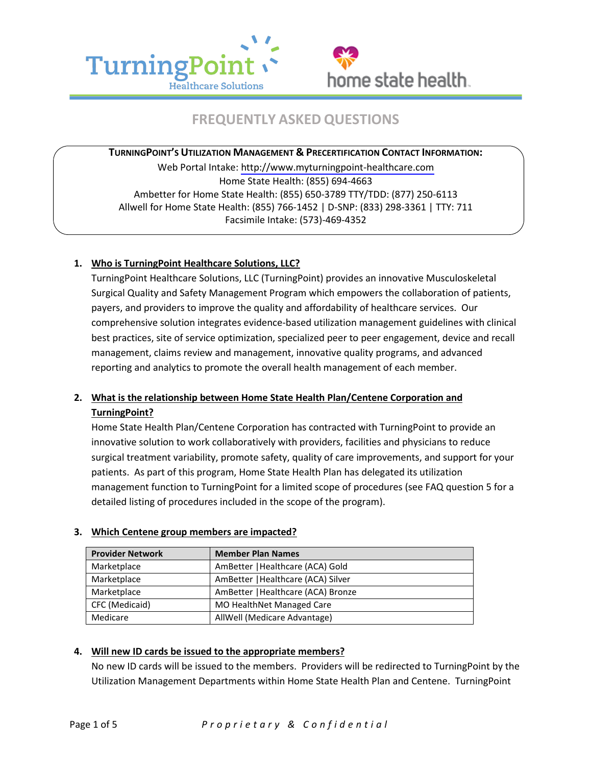



# **FREQUENTLY ASKED QUESTIONS**

**TURNINGPOINT'S UTILIZATION MANAGEMENT & PRECERTIFICATION CONTACT INFORMATION:**  Web Portal Intake:<http://www.myturningpoint-healthcare.com> Home State Health: (855) 694-4663 Ambetter for Home State Health: (855) 650-3789 TTY/TDD: (877) 250-6113 Allwell for Home State Health: (855) 766-1452 | D-SNP: (833) 298-3361 | TTY: 711 Facsimile Intake: (573)-469-4352

## **1. Who is TurningPoint Healthcare Solutions, LLC?**

 TurningPoint Healthcare Solutions, LLC (TurningPoint) provides an innovative Musculoskeletal Surgical Quality and Safety Management Program which empowers the collaboration of patients, comprehensive solution integrates evidence-based utilization management guidelines with clinical payers, and providers to improve the quality and affordability of healthcare services. Our best practices, site of service optimization, specialized peer to peer engagement, device and recall management, claims review and management, innovative quality programs, and advanced reporting and analytics to promote the overall health management of each member.

## **2. What is the relationship between Home State Health Plan/Centene Corporation and TurningPoint?**

 innovative solution to work collaboratively with providers, facilities and physicians to reduce patients. As part of this program, Home State Health Plan has delegated its utilization detailed listing of procedures included in the scope of the program). Home State Health Plan/Centene Corporation has contracted with TurningPoint to provide an surgical treatment variability, promote safety, quality of care improvements, and support for your management function to TurningPoint for a limited scope of procedures (see FAQ question 5 for a

| <b>Provider Network</b> | <b>Member Plan Names</b>           |  |
|-------------------------|------------------------------------|--|
| Marketplace             | AmBetter   Healthcare (ACA) Gold   |  |
| Marketplace             | AmBetter   Healthcare (ACA) Silver |  |
| Marketplace             | AmBetter   Healthcare (ACA) Bronze |  |
| CFC (Medicaid)          | <b>MO HealthNet Managed Care</b>   |  |
| Medicare                | AllWell (Medicare Advantage)       |  |

## **3. Which Centene group members are impacted?**

## **4. Will new ID cards be issued to the appropriate members?**

 No new ID cards will be issued to the members. Providers will be redirected to TurningPoint by the Utilization Management Departments within Home State Health Plan and Centene. TurningPoint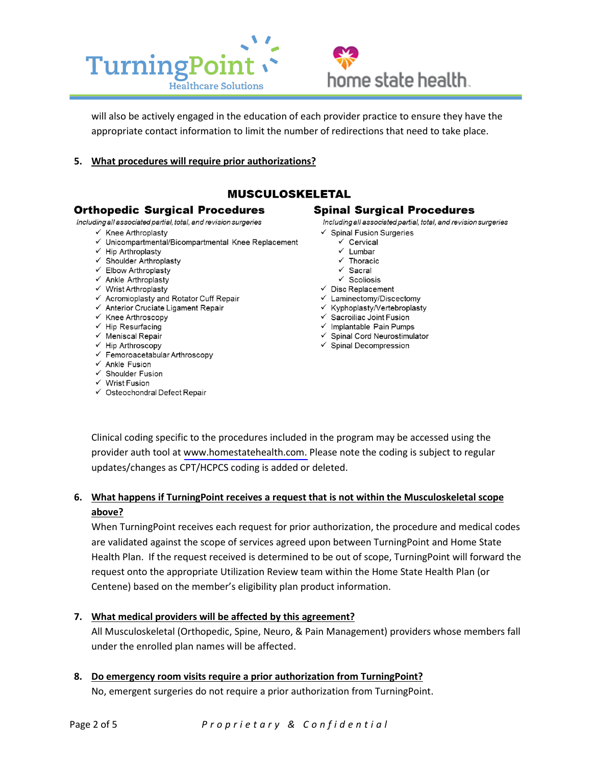



will also be actively engaged in the education of each provider practice to ensure they have the appropriate contact information to limit the number of redirections that need to take place.

5. What procedures will require prior authorizations?

## **MUSCULOSKELETAL**

#### **Orthopedic Surgical Procedures**

Including all associated partial, total, and revision surgeries

- $\checkmark$  Knee Arthroplasty
- √ Unicompartmental/Bicompartmental Knee Replacement
- $\checkmark$  Hip Arthroplasty
- ✔ Shoulder Arthroplasty
- ← Elbow Arthroplasty
- $\checkmark$  Ankle Arthroplasty
- √ Wrist Arthroplasty
- ← Acromioplasty and Rotator Cuff Repair
- ← Anterior Cruciate Ligament Repair
- $\checkmark$  Knee Arthroscopy
- $\checkmark$  Hip Resurfacing
- $\checkmark$  Meniscal Repair
- ← Hip Arthroscopy
- ← Femoroacetabular Arthroscopy
- $\checkmark$  Ankle Fusion
- √ Shoulder Fusion
- $\checkmark$  Wrist Fusion
- √ Osteochondral Defect Repair

#### **Spinal Surgical Procedures**

Including all associated partial, total, and revision surgeries

- $\checkmark$  Spinal Fusion Surgeries
	- √ Cervical
	- $\checkmark$  Lumbar
	- $\checkmark$ Thoracic
	- $\checkmark$  Sacral
	- $\checkmark$  Scoliosis
- $\checkmark$  Disc Replacement
- ← Laminectomy/Discectomy
- ← Kyphoplasty/Vertebroplasty
- ✔ Sacroiliac Joint Fusion
- $\checkmark$  Implantable Pain Pumps
- √ Spinal Cord Neurostimulator
- $\checkmark$  Spinal Decompression

Clinical coding specific to the procedures included in the program may be accessed using the provider auth tool at www.homestatehealth.com. Please note the coding is subject to regular updates/changes as CPT/HCPCS coding is added or deleted.

## 6. What happens if Turning Point receives a request that is not within the Musculoskeletal scope above?

When TurningPoint receives each request for prior authorization, the procedure and medical codes are validated against the scope of services agreed upon between TurningPoint and Home State Health Plan. If the request received is determined to be out of scope, TurningPoint will forward the request onto the appropriate Utilization Review team within the Home State Health Plan (or Centene) based on the member's eligibility plan product information.

## 7. What medical providers will be affected by this agreement?

All Musculoskeletal (Orthopedic, Spine, Neuro, & Pain Management) providers whose members fall under the enrolled plan names will be affected.

#### 8. Do emergency room visits require a prior authorization from TurningPoint?

No, emergent surgeries do not require a prior authorization from TurningPoint.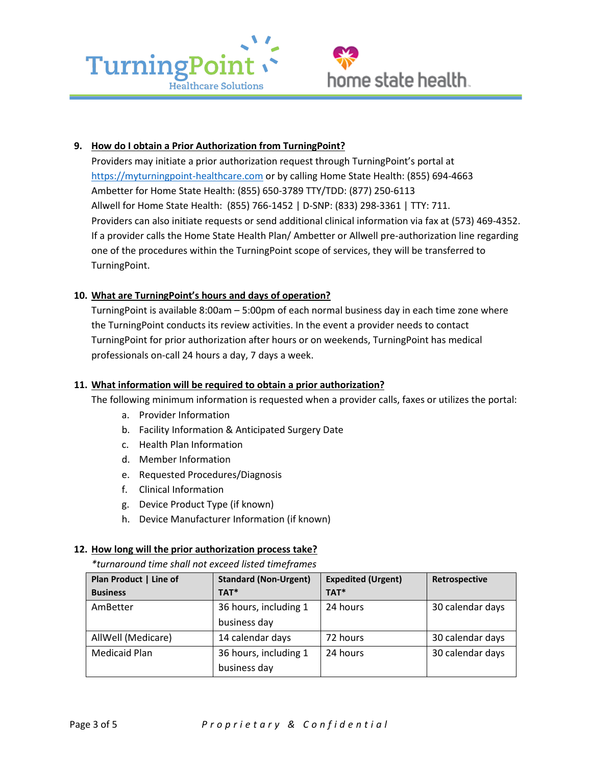



#### **9. How do I obtain a Prior Authorization from TurningPoint?**

Providers may initiate a prior authorization request through TurningPoint's portal at Providers may initiate a prior authorization request through TurningPoint's portal at<br><https://myturningpoint-healthcare.com> or by calling Home State Health: (855) 694-4663 Ambetter for Home State Health: (855) 650-3789 TTY/TDD: (877) 250-6113 Providers can also initiate requests or send additional clinical information via fax at (573) 469-4352. TurningPoint. Allwell for Home State Health: (855) 766-1452 | D-SNP: (833) 298-3361 | TTY: 711. If a provider calls the Home State Health Plan/ Ambetter or Allwell pre-authorization line regarding one of the procedures within the TurningPoint scope of services, they will be transferred to

## **10. What are TurningPoint's hours and days of operation?**

 TurningPoint is available 8:00am – 5:00pm of each normal business day in each time zone where TurningPoint for prior authorization after hours or on weekends, TurningPoint has medical the TurningPoint conducts its review activities. In the event a provider needs to contact professionals on-call 24 hours a day, 7 days a week.

#### **11. What information will be required to obtain a prior authorization?**

The following minimum information is requested when a provider calls, faxes or utilizes the portal:

- a. Provider Information
- b. Facility Information & Anticipated Surgery Date
- c. Health Plan Information
- d. Member Information
- e. Requested Procedures/Diagnosis
- f. Clinical Information
- g. Device Product Type (if known)
- h. Device Manufacturer Information (if known)

#### **12. How long will the prior authorization process take?**

*\*turnaround time shall not exceed listed timeframes* 

| Plan Product   Line of | <b>Standard (Non-Urgent)</b> | <b>Expedited (Urgent)</b> | Retrospective    |
|------------------------|------------------------------|---------------------------|------------------|
| <b>Business</b>        | TAT*                         | TAT*                      |                  |
| AmBetter               | 36 hours, including 1        | 24 hours                  | 30 calendar days |
|                        | business day                 |                           |                  |
| AllWell (Medicare)     | 14 calendar days             | 72 hours                  | 30 calendar days |
| <b>Medicaid Plan</b>   | 36 hours, including 1        | 24 hours                  | 30 calendar days |
|                        | business day                 |                           |                  |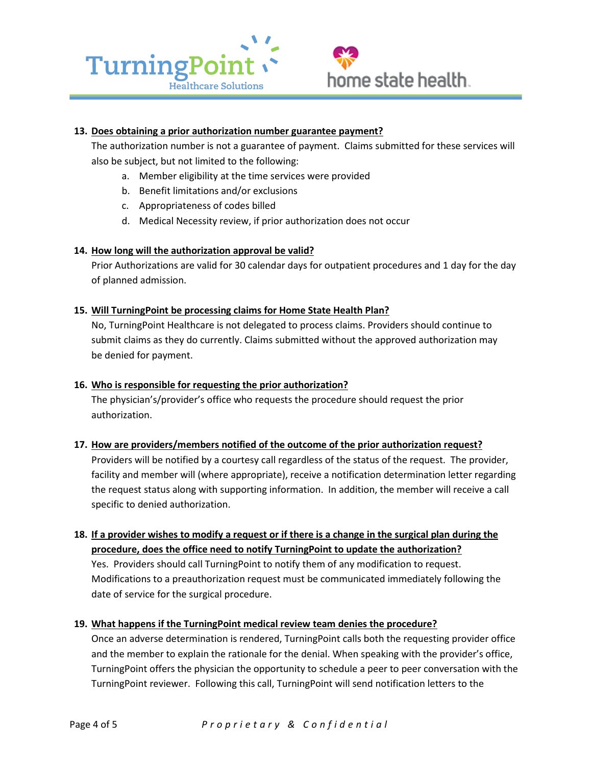

#### **13. Does obtaining a prior authorization number guarantee payment?**

The authorization number is not a guarantee of payment. Claims submitted for these services will also be subject, but not limited to the following:

- a. Member eligibility at the time services were provided
- b. Benefit limitations and/or exclusions
- c. Appropriateness of codes billed
- d. Medical Necessity review, if prior authorization does not occur

#### **14. How long will the authorization approval be valid?**

Prior Authorizations are valid for 30 calendar days for outpatient procedures and 1 day for the day of planned admission.

#### **15. Will TurningPoint be processing claims for Home State Health Plan?**

No, TurningPoint Healthcare is not delegated to process claims. Providers should continue to submit claims as they do currently. Claims submitted without the approved authorization may be denied for payment.

#### **16. Who is responsible for requesting the prior authorization?**

 The physician's/provider's office who requests the procedure should request the prior authorization.

## **17. How are providers/members notified of the outcome of the prior authorization request?**

 Providers will be notified by a courtesy call regardless of the status of the request. The provider, facility and member will (where appropriate), receive a notification determination letter regarding the request status along with supporting information. In addition, the member will receive a call specific to denied authorization.

## **18. If a provider wishes to modify a request or if there is a change in the surgical plan during the procedure, does the office need to notify TurningPoint to update the authorization?**

 Yes. Providers should call TurningPoint to notify them of any modification to request. date of service for the surgical procedure. Modifications to a preauthorization request must be communicated immediately following the

#### **19. What happens if the TurningPoint medical review team denies the procedure?**

 and the member to explain the rationale for the denial. When speaking with the provider's office, TurningPoint offers the physician the opportunity to schedule a peer to peer conversation with the TurningPoint reviewer. Following this call, TurningPoint will send notification letters to the Once an adverse determination is rendered, TurningPoint calls both the requesting provider office